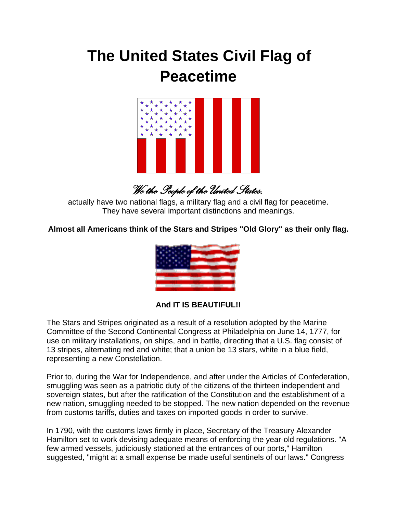## **The United States Civil Flag of Peacetime**



*We the People of the United States,* 

actually have two national flags, a military flag and a civil flag for peacetime. They have several important distinctions and meanings.

**Almost all Americans think of the Stars and Stripes "Old Glory" as their only flag.**



**And IT IS BEAUTIFUL!!**

The Stars and Stripes originated as a result of a resolution adopted by the Marine Committee of the Second Continental Congress at Philadelphia on June 14, 1777, for use on military installations, on ships, and in battle, directing that a U.S. flag consist of 13 stripes, alternating red and white; that a union be 13 stars, white in a blue field, representing a new Constellation.

Prior to, during the War for Independence, and after under the Articles of Confederation, smuggling was seen as a patriotic duty of the citizens of the thirteen independent and sovereign states, but after the ratification of the Constitution and the establishment of a new nation, smuggling needed to be stopped. The new nation depended on the revenue from customs tariffs, duties and taxes on imported goods in order to survive.

In 1790, with the customs laws firmly in place, Secretary of the Treasury Alexander Hamilton set to work devising adequate means of enforcing the year-old regulations. "A few armed vessels, judiciously stationed at the entrances of our ports," Hamilton suggested, "might at a small expense be made useful sentinels of our laws." Congress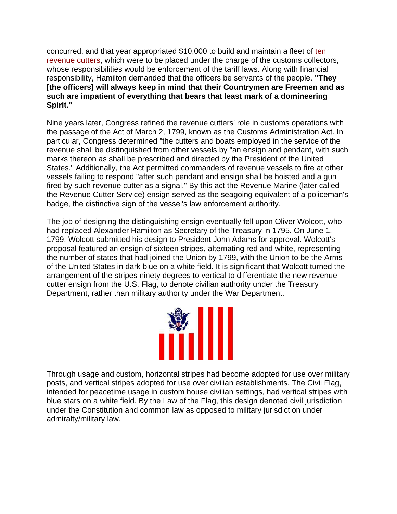concurred, and that year appropriated \$10,000 to build and maintain a fleet of [ten](http://www.uscg.mil/hq/g-cp/history/First_Cutters.html)  [revenue cutters,](http://www.uscg.mil/hq/g-cp/history/First_Cutters.html) which were to be placed under the charge of the customs collectors, whose responsibilities would be enforcement of the tariff laws. Along with financial responsibility, Hamilton demanded that the officers be servants of the people. **"They [the officers] will always keep in mind that their Countrymen are Freemen and as such are impatient of everything that bears that least mark of a domineering Spirit."**

Nine years later, Congress refined the revenue cutters' role in customs operations with the passage of the Act of March 2, 1799, known as the Customs Administration Act. In particular, Congress determined "the cutters and boats employed in the service of the revenue shall be distinguished from other vessels by "an ensign and pendant, with such marks thereon as shall be prescribed and directed by the President of the United States." Additionally, the Act permitted commanders of revenue vessels to fire at other vessels failing to respond "after such pendant and ensign shall be hoisted and a gun fired by such revenue cutter as a signal." By this act the Revenue Marine (later called the Revenue Cutter Service) ensign served as the seagoing equivalent of a policeman's badge, the distinctive sign of the vessel's law enforcement authority.

The job of designing the distinguishing ensign eventually fell upon Oliver Wolcott, who had replaced Alexander Hamilton as Secretary of the Treasury in 1795. On June 1, 1799, Wolcott submitted his design to President John Adams for approval. Wolcott's proposal featured an ensign of sixteen stripes, alternating red and white, representing the number of states that had joined the Union by 1799, with the Union to be the Arms of the United States in dark blue on a white field. It is significant that Wolcott turned the arrangement of the stripes ninety degrees to vertical to differentiate the new revenue cutter ensign from the U.S. Flag, to denote civilian authority under the Treasury Department, rather than military authority under the War Department.



Through usage and custom, horizontal stripes had become adopted for use over military posts, and vertical stripes adopted for use over civilian establishments. The Civil Flag, intended for peacetime usage in custom house civilian settings, had vertical stripes with blue stars on a white field. By the Law of the Flag, this design denoted civil jurisdiction under the Constitution and common law as opposed to military jurisdiction under admiralty/military law.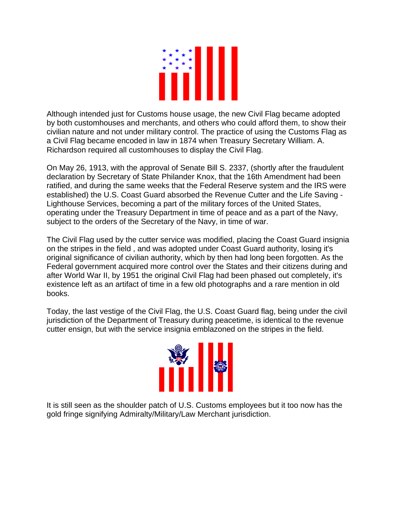

Although intended just for Customs house usage, the new Civil Flag became adopted by both customhouses and merchants, and others who could afford them, to show their civilian nature and not under military control. The practice of using the Customs Flag as a Civil Flag became encoded in law in 1874 when Treasury Secretary William. A. Richardson required all customhouses to display the Civil Flag.

On May 26, 1913, with the approval of Senate Bill S. 2337, (shortly after the fraudulent declaration by Secretary of State Philander Knox, that the 16th Amendment had been ratified, and during the same weeks that the Federal Reserve system and the IRS were established) the U.S. Coast Guard absorbed the Revenue Cutter and the Life Saving - Lighthouse Services, becoming a part of the military forces of the United States, operating under the Treasury Department in time of peace and as a part of the Navy, subject to the orders of the Secretary of the Navy, in time of war.

The Civil Flag used by the cutter service was modified, placing the Coast Guard insignia on the stripes in the field , and was adopted under Coast Guard authority, losing it's original significance of civilian authority, which by then had long been forgotten. As the Federal government acquired more control over the States and their citizens during and after World War II, by 1951 the original Civil Flag had been phased out completely, it's existence left as an artifact of time in a few old photographs and a rare mention in old books.

Today, the last vestige of the Civil Flag, the U.S. Coast Guard flag, being under the civil jurisdiction of the Department of Treasury during peacetime, is identical to the revenue cutter ensign, but with the service insignia emblazoned on the stripes in the field.



It is still seen as the shoulder patch of U.S. Customs employees but it too now has the gold fringe signifying Admiralty/Military/Law Merchant jurisdiction.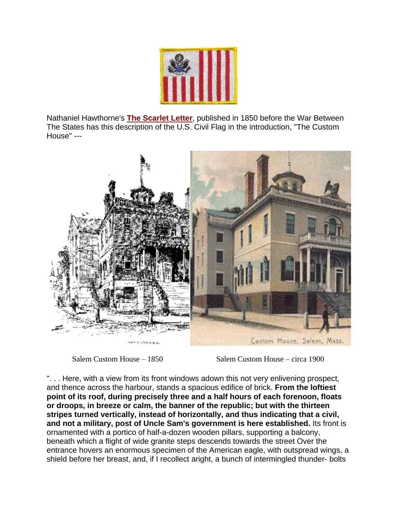

Nathaniel Hawthorne's **[The Scarlet Letter](http://www.pagebypagebooks.com/Nathaniel_Hawthorne/The_Scarlet_Letter/THE_CUSTOM_HOUSE_p1.html)**, published in 1850 before the War Between The States has this description of the U.S. Civil Flag in the introduction, "The Custom House" ---



Salem Custom House – 1850 Salem Custom House – circa 1900

". . . Here, with a view from its front windows adown this not very enlivening prospect, and thence across the harbour, stands a spacious edifice of brick. **From the loftiest point of its roof, during precisely three and a half hours of each forenoon, floats or droops, in breeze or calm, the banner of the republic; but with the thirteen stripes turned vertically, instead of horizontally, and thus indicating that a civil, and not a military, post of Uncle Sam's government is here established.** Its front is ornamented with a portico of half-a-dozen wooden pillars, supporting a balcony, beneath which a flight of wide granite steps descends towards the street Over the entrance hovers an enormous specimen of the American eagle, with outspread wings, a shield before her breast, and, if I recollect aright, a bunch of intermingled thunder- bolts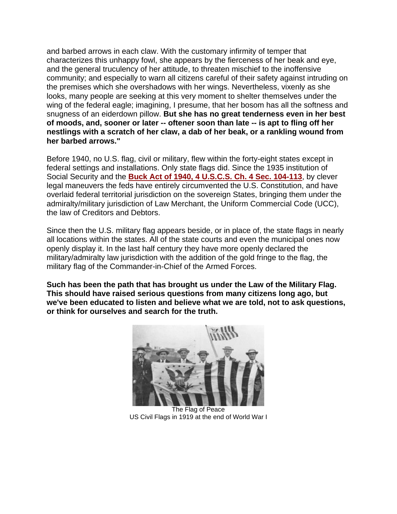and barbed arrows in each claw. With the customary infirmity of temper that characterizes this unhappy fowl, she appears by the fierceness of her beak and eye, and the general truculency of her attitude, to threaten mischief to the inoffensive community; and especially to warn all citizens careful of their safety against intruding on the premises which she overshadows with her wings. Nevertheless, vixenly as she looks, many people are seeking at this very moment to shelter themselves under the wing of the federal eagle; imagining, I presume, that her bosom has all the softness and snugness of an eiderdown pillow. **But she has no great tenderness even in her best of moods, and, sooner or later -- oftener soon than late -- is apt to fling off her nestlings with a scratch of her claw, a dab of her beak, or a rankling wound from her barbed arrows."**

Before 1940, no U.S. flag, civil or military, flew within the forty-eight states except in federal settings and installations. Only state flags did. Since the 1935 institution of Social Security and the **[Buck Act of 1940, 4 U.S.C.S. Ch. 4 Sec. 104-113](http://www.access.gpo.gov/uscode/title4/chapter4_.html)**, by clever legal maneuvers the feds have entirely circumvented the U.S. Constitution, and have overlaid federal territorial jurisdiction on the sovereign States, bringing them under the admiralty/military jurisdiction of Law Merchant, the Uniform Commercial Code (UCC), the law of Creditors and Debtors.

Since then the U.S. military flag appears beside, or in place of, the state flags in nearly all locations within the states. All of the state courts and even the municipal ones now openly display it. In the last half century they have more openly declared the military/admiralty law jurisdiction with the addition of the gold fringe to the flag, the military flag of the Commander-in-Chief of the Armed Forces.

**Such has been the path that has brought us under the Law of the Military Flag. This should have raised serious questions from many citizens long ago, but we've been educated to listen and believe what we are told, not to ask questions, or think for ourselves and search for the truth.**



The Flag of Peace US Civil Flags in 1919 at the end of World War I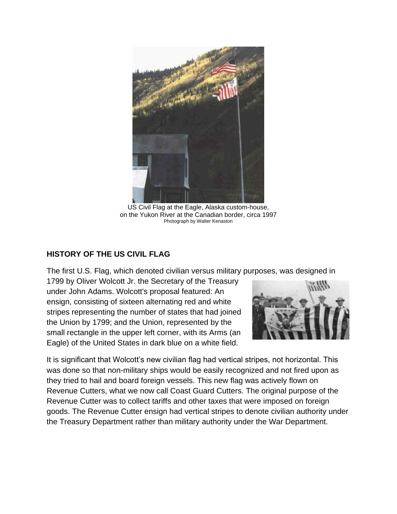

US Civil Flag at the Eagle, Alaska custom-house, on the Yukon River at the Canadian border, circa 1997 Photograph by Walter Kenaston

## **HISTORY OF THE US CIVIL FLAG**

The first U.S. Flag, which denoted civilian versus military purposes, was designed in

1799 by Oliver Wolcott Jr. the Secretary of the Treasury under John Adams. Wolcott's proposal featured: An ensign, consisting of sixteen alternating red and white stripes representing the number of states that had joined the Union by 1799; and the Union, represented by the small rectangle in the upper left corner, with its Arms (an Eagle) of the United States in dark blue on a white field.



It is significant that Wolcott"s new civilian flag had vertical stripes, not horizontal. This was done so that non-military ships would be easily recognized and not fired upon as they tried to hail and board foreign vessels. This new flag was actively flown on Revenue Cutters, what we now call Coast Guard Cutters. The original purpose of the Revenue Cutter was to collect tariffs and other taxes that were imposed on foreign goods. The Revenue Cutter ensign had vertical stripes to denote civilian authority under the Treasury Department rather than military authority under the War Department.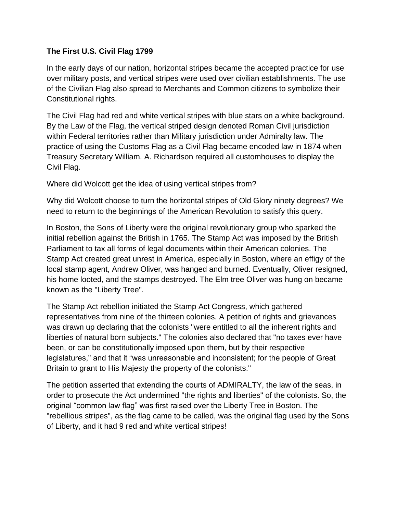## **The First U.S. Civil Flag 1799**

In the early days of our nation, horizontal stripes became the accepted practice for use over military posts, and vertical stripes were used over civilian establishments. The use of the Civilian Flag also spread to Merchants and Common citizens to symbolize their Constitutional rights.

The Civil Flag had red and white vertical stripes with blue stars on a white background. By the Law of the Flag, the vertical striped design denoted Roman Civil jurisdiction within Federal territories rather than Military jurisdiction under Admiralty law. The practice of using the Customs Flag as a Civil Flag became encoded law in 1874 when Treasury Secretary William. A. Richardson required all customhouses to display the Civil Flag.

Where did Wolcott get the idea of using vertical stripes from?

Why did Wolcott choose to turn the horizontal stripes of Old Glory ninety degrees? We need to return to the beginnings of the American Revolution to satisfy this query.

In Boston, the Sons of Liberty were the original revolutionary group who sparked the initial rebellion against the British in 1765. The Stamp Act was imposed by the British Parliament to tax all forms of legal documents within their American colonies. The Stamp Act created great unrest in America, especially in Boston, where an effigy of the local stamp agent, Andrew Oliver, was hanged and burned. Eventually, Oliver resigned, his home looted, and the stamps destroyed. The Elm tree Oliver was hung on became known as the "Liberty Tree".

The Stamp Act rebellion initiated the Stamp Act Congress, which gathered representatives from nine of the thirteen colonies. A petition of rights and grievances was drawn up declaring that the colonists "were entitled to all the inherent rights and liberties of natural born subjects." The colonies also declared that "no taxes ever have been, or can be constitutionally imposed upon them, but by their respective legislatures," and that it "was unreasonable and inconsistent; for the people of Great Britain to grant to His Majesty the property of the colonists."

The petition asserted that extending the courts of ADMIRALTY, the law of the seas, in order to prosecute the Act undermined "the rights and liberties" of the colonists. So, the original "common law flag" was first raised over the Liberty Tree in Boston. The "rebellious stripes", as the flag came to be called, was the original flag used by the Sons of Liberty, and it had 9 red and white vertical stripes!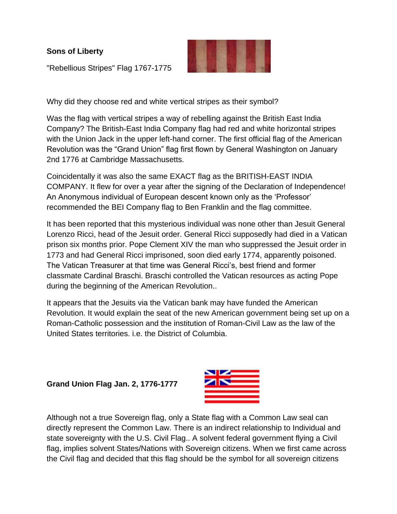**Sons of Liberty** 



"Rebellious Stripes" Flag 1767-1775

Why did they choose red and white vertical stripes as their symbol?

Was the flag with vertical stripes a way of rebelling against the British East India Company? The British-East India Company flag had red and white horizontal stripes with the Union Jack in the upper left-hand corner. The first official flag of the American Revolution was the "Grand Union" flag first flown by General Washington on January 2nd 1776 at Cambridge Massachusetts.

Coincidentally it was also the same EXACT flag as the BRITISH-EAST INDIA COMPANY. It flew for over a year after the signing of the Declaration of Independence! An Anonymous individual of European descent known only as the "Professor" recommended the BEI Company flag to Ben Franklin and the flag committee.

It has been reported that this mysterious individual was none other than Jesuit General Lorenzo Ricci, head of the Jesuit order. General Ricci supposedly had died in a Vatican prison six months prior. Pope Clement XIV the man who suppressed the Jesuit order in 1773 and had General Ricci imprisoned, soon died early 1774, apparently poisoned. The Vatican Treasurer at that time was General Ricci"s, best friend and former classmate Cardinal Braschi. Braschi controlled the Vatican resources as acting Pope during the beginning of the American Revolution..

It appears that the Jesuits via the Vatican bank may have funded the American Revolution. It would explain the seat of the new American government being set up on a Roman-Catholic possession and the institution of Roman-Civil Law as the law of the United States territories. i.e. the District of Columbia.

**Grand Union Flag Jan. 2, 1776-1777**



Although not a true Sovereign flag, only a State flag with a Common Law seal can directly represent the Common Law. There is an indirect relationship to Individual and state sovereignty with the U.S. Civil Flag.. A solvent federal government flying a Civil flag, implies solvent States/Nations with Sovereign citizens. When we first came across the Civil flag and decided that this flag should be the symbol for all sovereign citizens